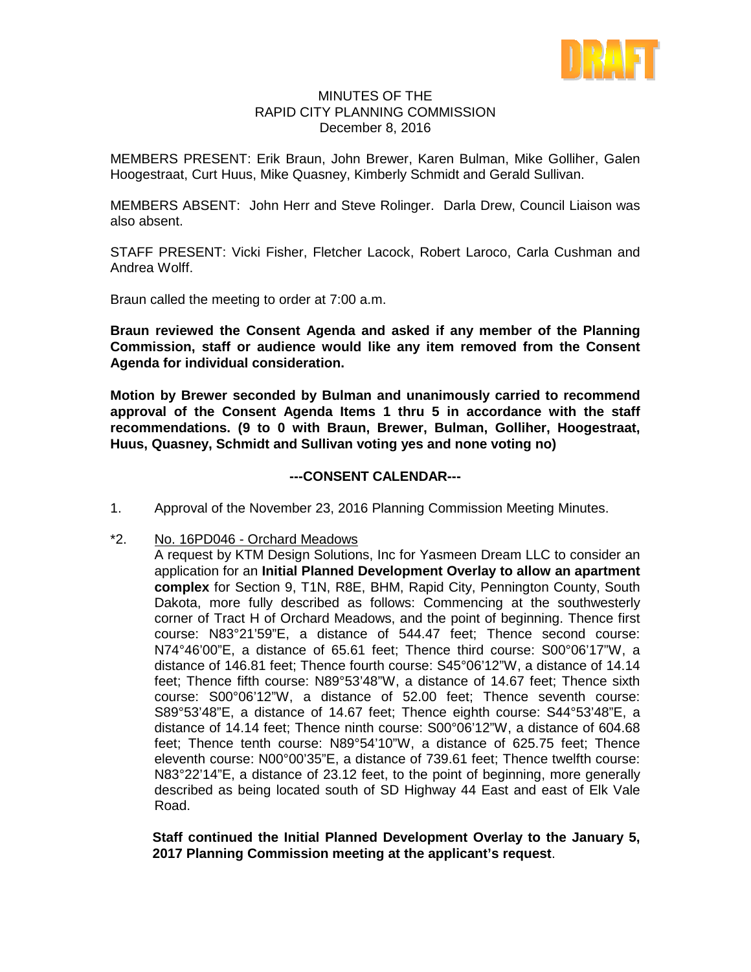

### MINUTES OF THE RAPID CITY PLANNING COMMISSION December 8, 2016

MEMBERS PRESENT: Erik Braun, John Brewer, Karen Bulman, Mike Golliher, Galen Hoogestraat, Curt Huus, Mike Quasney, Kimberly Schmidt and Gerald Sullivan.

MEMBERS ABSENT: John Herr and Steve Rolinger. Darla Drew, Council Liaison was also absent.

STAFF PRESENT: Vicki Fisher, Fletcher Lacock, Robert Laroco, Carla Cushman and Andrea Wolff.

Braun called the meeting to order at 7:00 a.m.

**Braun reviewed the Consent Agenda and asked if any member of the Planning Commission, staff or audience would like any item removed from the Consent Agenda for individual consideration.**

**Motion by Brewer seconded by Bulman and unanimously carried to recommend approval of the Consent Agenda Items 1 thru 5 in accordance with the staff recommendations. (9 to 0 with Braun, Brewer, Bulman, Golliher, Hoogestraat, Huus, Quasney, Schmidt and Sullivan voting yes and none voting no)**

### **---CONSENT CALENDAR---**

- 1. Approval of the November 23, 2016 Planning Commission Meeting Minutes.
- \*2. No. 16PD046 Orchard Meadows

A request by KTM Design Solutions, Inc for Yasmeen Dream LLC to consider an application for an **Initial Planned Development Overlay to allow an apartment complex** for Section 9, T1N, R8E, BHM, Rapid City, Pennington County, South Dakota, more fully described as follows: Commencing at the southwesterly corner of Tract H of Orchard Meadows, and the point of beginning. Thence first course: N83°21'59"E, a distance of 544.47 feet; Thence second course: N74°46'00"E, a distance of 65.61 feet; Thence third course: S00°06'17"W, a distance of 146.81 feet; Thence fourth course: S45°06'12"W, a distance of 14.14 feet; Thence fifth course: N89°53'48"W, a distance of 14.67 feet; Thence sixth course: S00°06'12"W, a distance of 52.00 feet; Thence seventh course: S89°53'48"E, a distance of 14.67 feet; Thence eighth course: S44°53'48"E, a distance of 14.14 feet; Thence ninth course: S00°06'12"W, a distance of 604.68 feet; Thence tenth course: N89°54'10"W, a distance of 625.75 feet; Thence eleventh course: N00°00'35"E, a distance of 739.61 feet; Thence twelfth course: N83°22'14"E, a distance of 23.12 feet, to the point of beginning, more generally described as being located south of SD Highway 44 East and east of Elk Vale Road.

**Staff continued the Initial Planned Development Overlay to the January 5, 2017 Planning Commission meeting at the applicant's request**.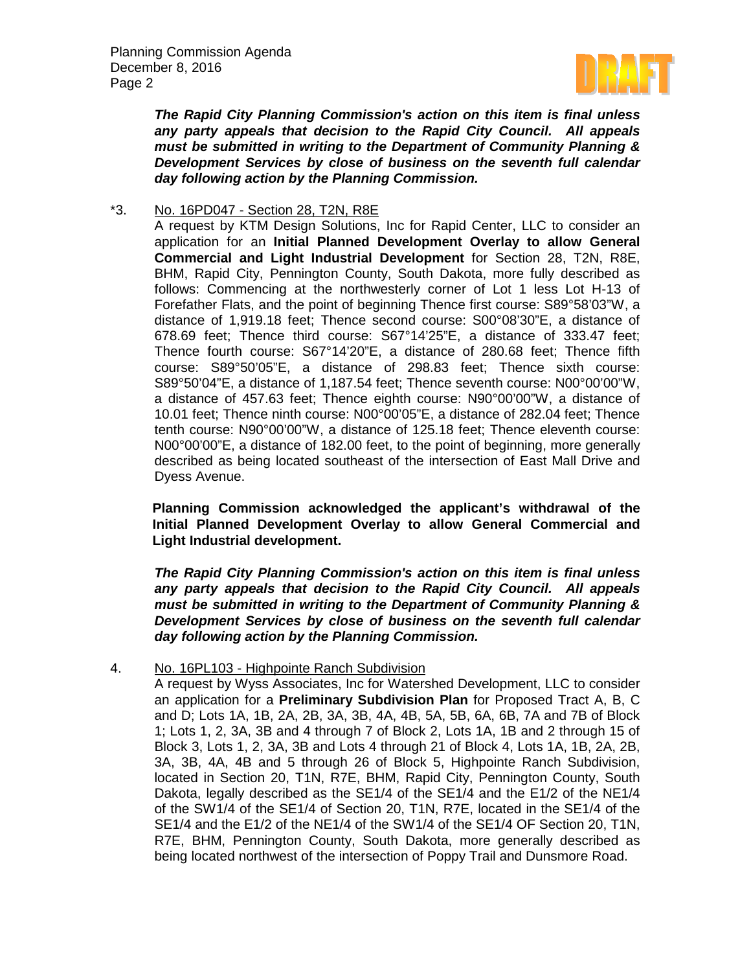

*The Rapid City Planning Commission's action on this item is final unless any party appeals that decision to the Rapid City Council. All appeals must be submitted in writing to the Department of Community Planning & Development Services by close of business on the seventh full calendar day following action by the Planning Commission.*

\*3. No. 16PD047 - Section 28, T2N, R8E

A request by KTM Design Solutions, Inc for Rapid Center, LLC to consider an application for an **Initial Planned Development Overlay to allow General Commercial and Light Industrial Development** for Section 28, T2N, R8E, BHM, Rapid City, Pennington County, South Dakota, more fully described as follows: Commencing at the northwesterly corner of Lot 1 less Lot H-13 of Forefather Flats, and the point of beginning Thence first course: S89°58'03"W, a distance of 1,919.18 feet; Thence second course: S00°08'30"E, a distance of 678.69 feet; Thence third course: S67°14'25"E, a distance of 333.47 feet; Thence fourth course: S67°14'20"E, a distance of 280.68 feet; Thence fifth course: S89°50'05"E, a distance of 298.83 feet; Thence sixth course: S89°50'04"E, a distance of 1,187.54 feet; Thence seventh course: N00°00'00"W, a distance of 457.63 feet; Thence eighth course: N90°00'00"W, a distance of 10.01 feet; Thence ninth course: N00°00'05"E, a distance of 282.04 feet; Thence tenth course: N90°00'00"W, a distance of 125.18 feet; Thence eleventh course: N00°00'00"E, a distance of 182.00 feet, to the point of beginning, more generally described as being located southeast of the intersection of East Mall Drive and Dyess Avenue.

**Planning Commission acknowledged the applicant's withdrawal of the Initial Planned Development Overlay to allow General Commercial and Light Industrial development.**

*The Rapid City Planning Commission's action on this item is final unless any party appeals that decision to the Rapid City Council. All appeals must be submitted in writing to the Department of Community Planning & Development Services by close of business on the seventh full calendar day following action by the Planning Commission.*

4. No. 16PL103 - Highpointe Ranch Subdivision

A request by Wyss Associates, Inc for Watershed Development, LLC to consider an application for a **Preliminary Subdivision Plan** for Proposed Tract A, B, C and D; Lots 1A, 1B, 2A, 2B, 3A, 3B, 4A, 4B, 5A, 5B, 6A, 6B, 7A and 7B of Block 1; Lots 1, 2, 3A, 3B and 4 through 7 of Block 2, Lots 1A, 1B and 2 through 15 of Block 3, Lots 1, 2, 3A, 3B and Lots 4 through 21 of Block 4, Lots 1A, 1B, 2A, 2B, 3A, 3B, 4A, 4B and 5 through 26 of Block 5, Highpointe Ranch Subdivision, located in Section 20, T1N, R7E, BHM, Rapid City, Pennington County, South Dakota, legally described as the SE1/4 of the SE1/4 and the E1/2 of the NE1/4 of the SW1/4 of the SE1/4 of Section 20, T1N, R7E, located in the SE1/4 of the SE1/4 and the E1/2 of the NE1/4 of the SW1/4 of the SE1/4 OF Section 20, T1N, R7E, BHM, Pennington County, South Dakota, more generally described as being located northwest of the intersection of Poppy Trail and Dunsmore Road.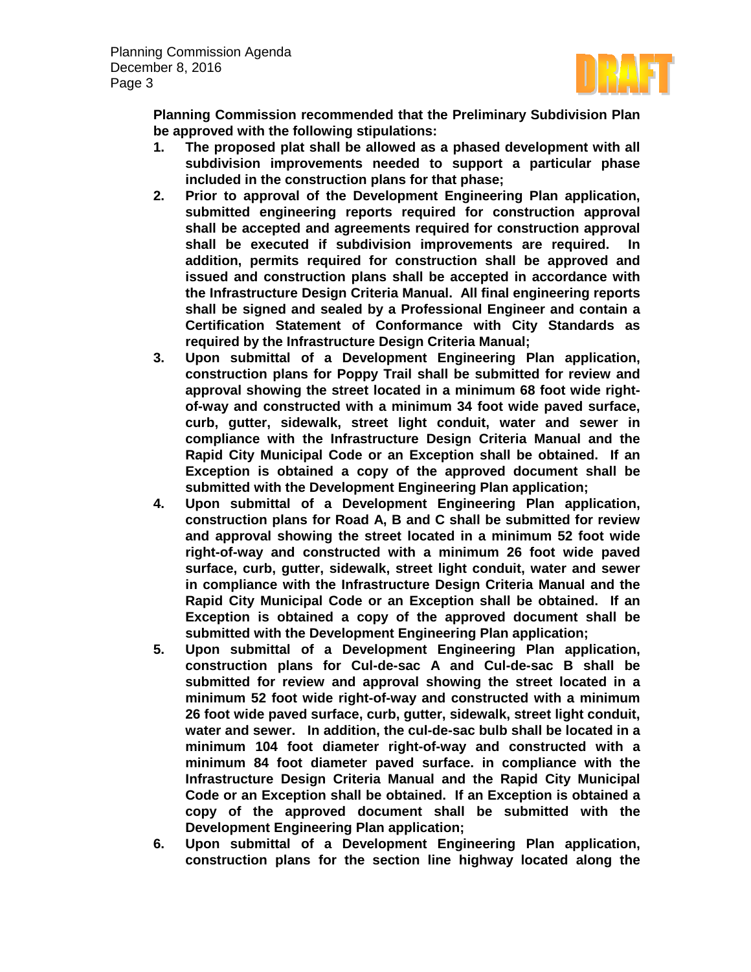

**Planning Commission recommended that the Preliminary Subdivision Plan be approved with the following stipulations:** 

- **1. The proposed plat shall be allowed as a phased development with all subdivision improvements needed to support a particular phase included in the construction plans for that phase;**
- **2. Prior to approval of the Development Engineering Plan application, submitted engineering reports required for construction approval shall be accepted and agreements required for construction approval shall be executed if subdivision improvements are required. In addition, permits required for construction shall be approved and issued and construction plans shall be accepted in accordance with the Infrastructure Design Criteria Manual. All final engineering reports shall be signed and sealed by a Professional Engineer and contain a Certification Statement of Conformance with City Standards as required by the Infrastructure Design Criteria Manual;**
- **3. Upon submittal of a Development Engineering Plan application, construction plans for Poppy Trail shall be submitted for review and approval showing the street located in a minimum 68 foot wide rightof-way and constructed with a minimum 34 foot wide paved surface, curb, gutter, sidewalk, street light conduit, water and sewer in compliance with the Infrastructure Design Criteria Manual and the Rapid City Municipal Code or an Exception shall be obtained. If an Exception is obtained a copy of the approved document shall be submitted with the Development Engineering Plan application;**
- **4. Upon submittal of a Development Engineering Plan application, construction plans for Road A, B and C shall be submitted for review and approval showing the street located in a minimum 52 foot wide right-of-way and constructed with a minimum 26 foot wide paved surface, curb, gutter, sidewalk, street light conduit, water and sewer in compliance with the Infrastructure Design Criteria Manual and the Rapid City Municipal Code or an Exception shall be obtained. If an Exception is obtained a copy of the approved document shall be submitted with the Development Engineering Plan application;**
- **5. Upon submittal of a Development Engineering Plan application, construction plans for Cul-de-sac A and Cul-de-sac B shall be submitted for review and approval showing the street located in a minimum 52 foot wide right-of-way and constructed with a minimum 26 foot wide paved surface, curb, gutter, sidewalk, street light conduit, water and sewer. In addition, the cul-de-sac bulb shall be located in a minimum 104 foot diameter right-of-way and constructed with a minimum 84 foot diameter paved surface. in compliance with the Infrastructure Design Criteria Manual and the Rapid City Municipal Code or an Exception shall be obtained. If an Exception is obtained a copy of the approved document shall be submitted with the Development Engineering Plan application;**
- **6. Upon submittal of a Development Engineering Plan application, construction plans for the section line highway located along the**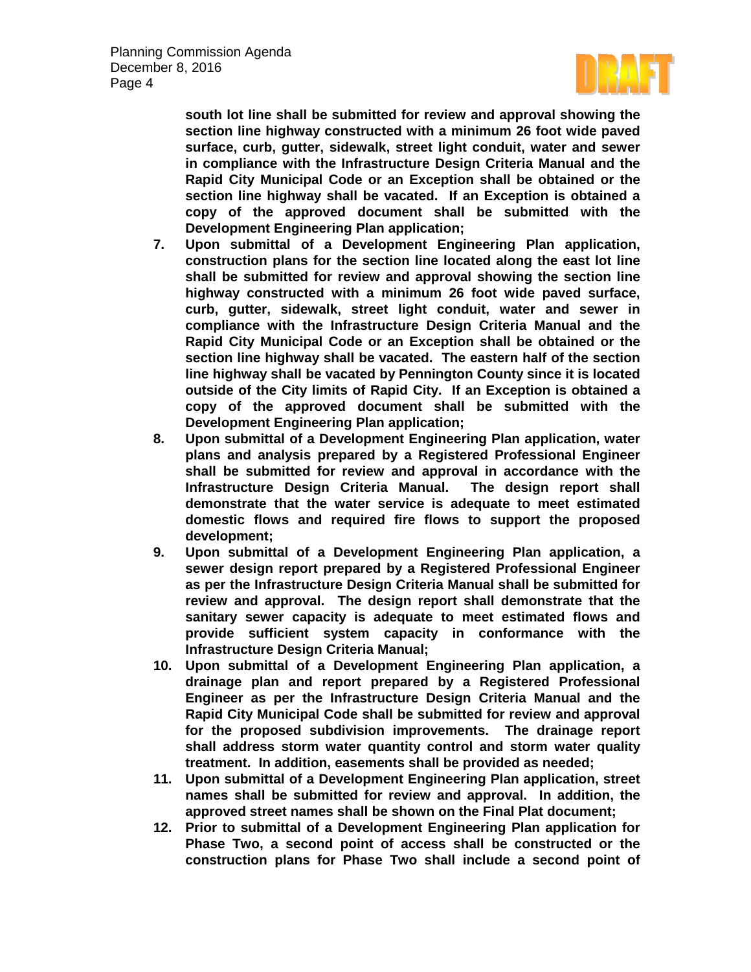

**south lot line shall be submitted for review and approval showing the section line highway constructed with a minimum 26 foot wide paved surface, curb, gutter, sidewalk, street light conduit, water and sewer in compliance with the Infrastructure Design Criteria Manual and the Rapid City Municipal Code or an Exception shall be obtained or the section line highway shall be vacated. If an Exception is obtained a copy of the approved document shall be submitted with the Development Engineering Plan application;** 

- **7. Upon submittal of a Development Engineering Plan application, construction plans for the section line located along the east lot line shall be submitted for review and approval showing the section line highway constructed with a minimum 26 foot wide paved surface, curb, gutter, sidewalk, street light conduit, water and sewer in compliance with the Infrastructure Design Criteria Manual and the Rapid City Municipal Code or an Exception shall be obtained or the section line highway shall be vacated. The eastern half of the section line highway shall be vacated by Pennington County since it is located outside of the City limits of Rapid City. If an Exception is obtained a copy of the approved document shall be submitted with the Development Engineering Plan application;**
- **8. Upon submittal of a Development Engineering Plan application, water plans and analysis prepared by a Registered Professional Engineer shall be submitted for review and approval in accordance with the Infrastructure Design Criteria Manual. The design report shall demonstrate that the water service is adequate to meet estimated domestic flows and required fire flows to support the proposed development;**
- **9. Upon submittal of a Development Engineering Plan application, a sewer design report prepared by a Registered Professional Engineer as per the Infrastructure Design Criteria Manual shall be submitted for review and approval. The design report shall demonstrate that the sanitary sewer capacity is adequate to meet estimated flows and provide sufficient system capacity in conformance with the Infrastructure Design Criteria Manual;**
- **10. Upon submittal of a Development Engineering Plan application, a drainage plan and report prepared by a Registered Professional Engineer as per the Infrastructure Design Criteria Manual and the Rapid City Municipal Code shall be submitted for review and approval for the proposed subdivision improvements. The drainage report shall address storm water quantity control and storm water quality treatment. In addition, easements shall be provided as needed;**
- **11. Upon submittal of a Development Engineering Plan application, street names shall be submitted for review and approval. In addition, the approved street names shall be shown on the Final Plat document;**
- **12. Prior to submittal of a Development Engineering Plan application for Phase Two, a second point of access shall be constructed or the construction plans for Phase Two shall include a second point of**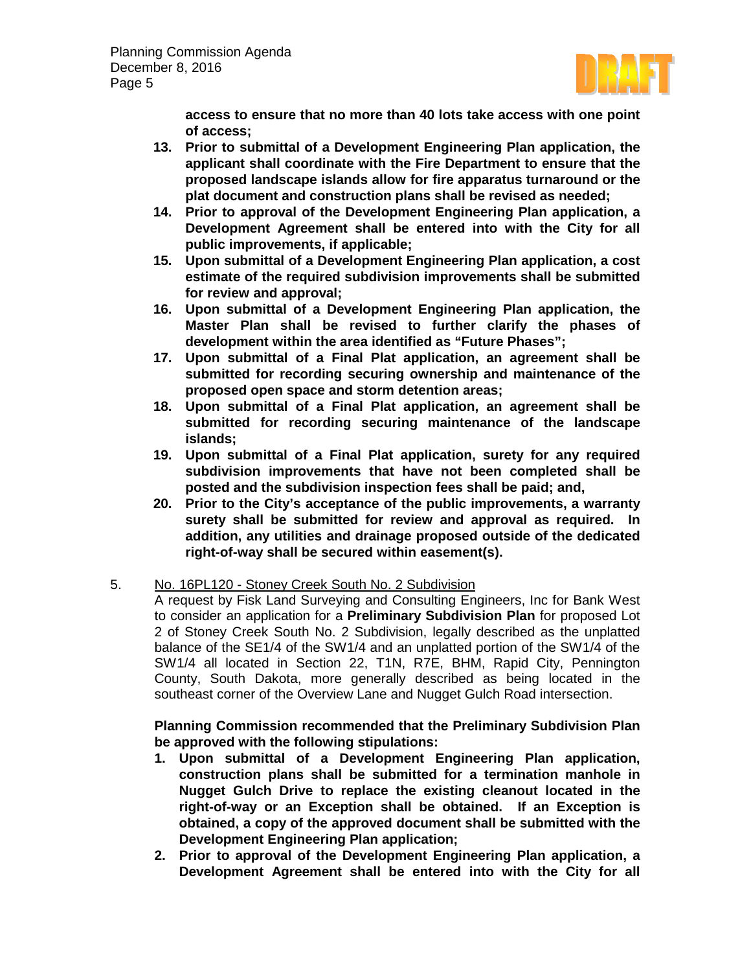

**access to ensure that no more than 40 lots take access with one point of access;** 

- **13. Prior to submittal of a Development Engineering Plan application, the applicant shall coordinate with the Fire Department to ensure that the proposed landscape islands allow for fire apparatus turnaround or the plat document and construction plans shall be revised as needed;**
- **14. Prior to approval of the Development Engineering Plan application, a Development Agreement shall be entered into with the City for all public improvements, if applicable;**
- **15. Upon submittal of a Development Engineering Plan application, a cost estimate of the required subdivision improvements shall be submitted for review and approval;**
- **16. Upon submittal of a Development Engineering Plan application, the Master Plan shall be revised to further clarify the phases of development within the area identified as "Future Phases";**
- **17. Upon submittal of a Final Plat application, an agreement shall be submitted for recording securing ownership and maintenance of the proposed open space and storm detention areas;**
- **18. Upon submittal of a Final Plat application, an agreement shall be submitted for recording securing maintenance of the landscape islands;**
- **19. Upon submittal of a Final Plat application, surety for any required subdivision improvements that have not been completed shall be posted and the subdivision inspection fees shall be paid; and,**
- **20. Prior to the City's acceptance of the public improvements, a warranty surety shall be submitted for review and approval as required. In addition, any utilities and drainage proposed outside of the dedicated right-of-way shall be secured within easement(s).**
- 5. No. 16PL120 Stoney Creek South No. 2 Subdivision

A request by Fisk Land Surveying and Consulting Engineers, Inc for Bank West to consider an application for a **Preliminary Subdivision Plan** for proposed Lot 2 of Stoney Creek South No. 2 Subdivision, legally described as the unplatted balance of the SE1/4 of the SW1/4 and an unplatted portion of the SW1/4 of the SW1/4 all located in Section 22, T1N, R7E, BHM, Rapid City, Pennington County, South Dakota, more generally described as being located in the southeast corner of the Overview Lane and Nugget Gulch Road intersection.

**Planning Commission recommended that the Preliminary Subdivision Plan be approved with the following stipulations:**

- **1. Upon submittal of a Development Engineering Plan application, construction plans shall be submitted for a termination manhole in Nugget Gulch Drive to replace the existing cleanout located in the right-of-way or an Exception shall be obtained. If an Exception is obtained, a copy of the approved document shall be submitted with the Development Engineering Plan application;**
- **2. Prior to approval of the Development Engineering Plan application, a Development Agreement shall be entered into with the City for all**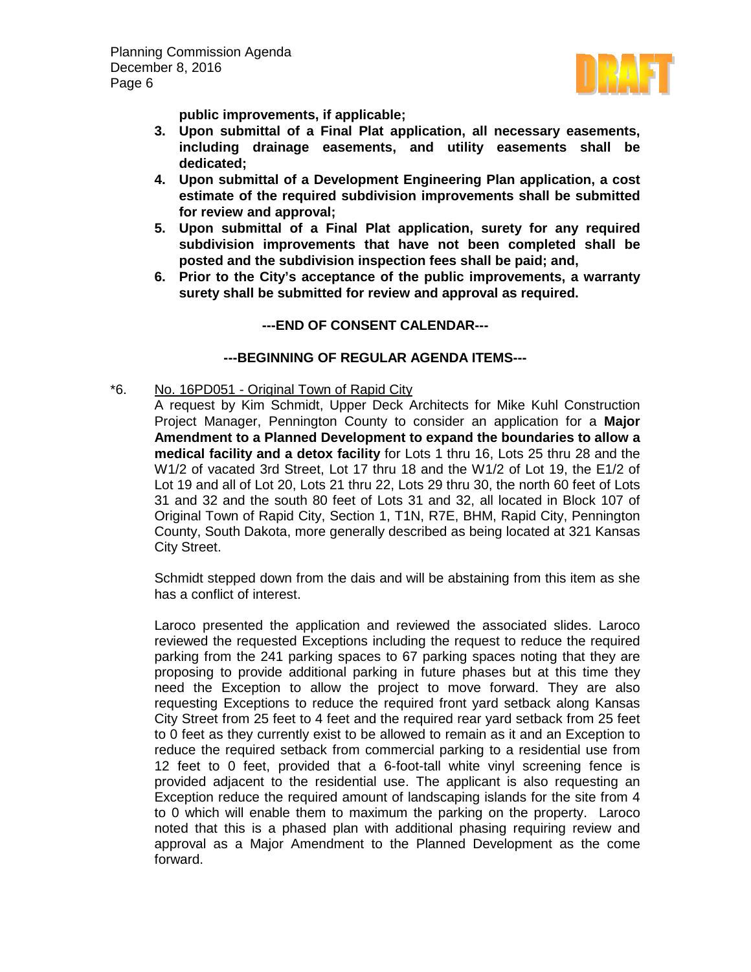

**public improvements, if applicable;**

- **3. Upon submittal of a Final Plat application, all necessary easements, including drainage easements, and utility easements shall be dedicated;**
- **4. Upon submittal of a Development Engineering Plan application, a cost estimate of the required subdivision improvements shall be submitted for review and approval;**
- **5. Upon submittal of a Final Plat application, surety for any required subdivision improvements that have not been completed shall be posted and the subdivision inspection fees shall be paid; and,**
- **6. Prior to the City's acceptance of the public improvements, a warranty surety shall be submitted for review and approval as required.**

# **---END OF CONSENT CALENDAR---**

## **---BEGINNING OF REGULAR AGENDA ITEMS---**

\*6. No. 16PD051 - Original Town of Rapid City

A request by Kim Schmidt, Upper Deck Architects for Mike Kuhl Construction Project Manager, Pennington County to consider an application for a **Major Amendment to a Planned Development to expand the boundaries to allow a medical facility and a detox facility** for Lots 1 thru 16, Lots 25 thru 28 and the W1/2 of vacated 3rd Street, Lot 17 thru 18 and the W1/2 of Lot 19, the E1/2 of Lot 19 and all of Lot 20, Lots 21 thru 22, Lots 29 thru 30, the north 60 feet of Lots 31 and 32 and the south 80 feet of Lots 31 and 32, all located in Block 107 of Original Town of Rapid City, Section 1, T1N, R7E, BHM, Rapid City, Pennington County, South Dakota, more generally described as being located at 321 Kansas City Street.

Schmidt stepped down from the dais and will be abstaining from this item as she has a conflict of interest.

Laroco presented the application and reviewed the associated slides. Laroco reviewed the requested Exceptions including the request to reduce the required parking from the 241 parking spaces to 67 parking spaces noting that they are proposing to provide additional parking in future phases but at this time they need the Exception to allow the project to move forward. They are also requesting Exceptions to reduce the required front yard setback along Kansas City Street from 25 feet to 4 feet and the required rear yard setback from 25 feet to 0 feet as they currently exist to be allowed to remain as it and an Exception to reduce the required setback from commercial parking to a residential use from 12 feet to 0 feet, provided that a 6-foot-tall white vinyl screening fence is provided adjacent to the residential use. The applicant is also requesting an Exception reduce the required amount of landscaping islands for the site from 4 to 0 which will enable them to maximum the parking on the property. Laroco noted that this is a phased plan with additional phasing requiring review and approval as a Major Amendment to the Planned Development as the come forward.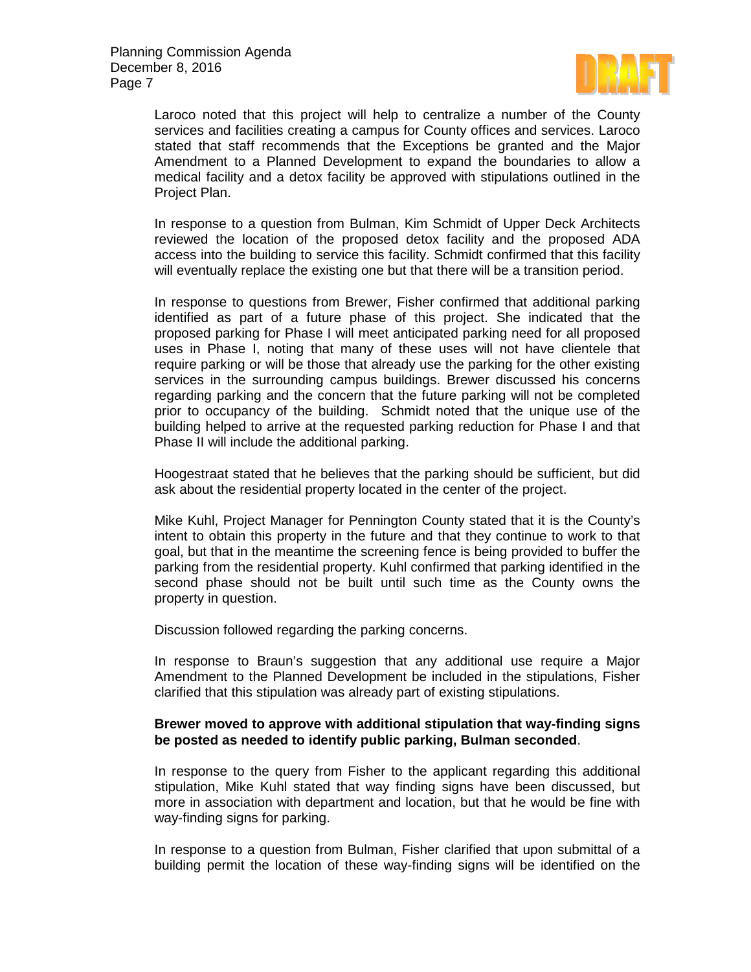

Laroco noted that this project will help to centralize a number of the County services and facilities creating a campus for County offices and services. Laroco stated that staff recommends that the Exceptions be granted and the Major Amendment to a Planned Development to expand the boundaries to allow a medical facility and a detox facility be approved with stipulations outlined in the Project Plan.

In response to a question from Bulman, Kim Schmidt of Upper Deck Architects reviewed the location of the proposed detox facility and the proposed ADA access into the building to service this facility. Schmidt confirmed that this facility will eventually replace the existing one but that there will be a transition period.

In response to questions from Brewer, Fisher confirmed that additional parking identified as part of a future phase of this project. She indicated that the proposed parking for Phase I will meet anticipated parking need for all proposed uses in Phase I, noting that many of these uses will not have clientele that require parking or will be those that already use the parking for the other existing services in the surrounding campus buildings. Brewer discussed his concerns regarding parking and the concern that the future parking will not be completed prior to occupancy of the building. Schmidt noted that the unique use of the building helped to arrive at the requested parking reduction for Phase I and that Phase II will include the additional parking.

Hoogestraat stated that he believes that the parking should be sufficient, but did ask about the residential property located in the center of the project.

Mike Kuhl, Project Manager for Pennington County stated that it is the County's intent to obtain this property in the future and that they continue to work to that goal, but that in the meantime the screening fence is being provided to buffer the parking from the residential property. Kuhl confirmed that parking identified in the second phase should not be built until such time as the County owns the property in question.

Discussion followed regarding the parking concerns.

In response to Braun's suggestion that any additional use require a Major Amendment to the Planned Development be included in the stipulations, Fisher clarified that this stipulation was already part of existing stipulations.

### **Brewer moved to approve with additional stipulation that way-finding signs be posted as needed to identify public parking, Bulman seconded**.

In response to the query from Fisher to the applicant regarding this additional stipulation, Mike Kuhl stated that way finding signs have been discussed, but more in association with department and location, but that he would be fine with way-finding signs for parking.

In response to a question from Bulman, Fisher clarified that upon submittal of a building permit the location of these way-finding signs will be identified on the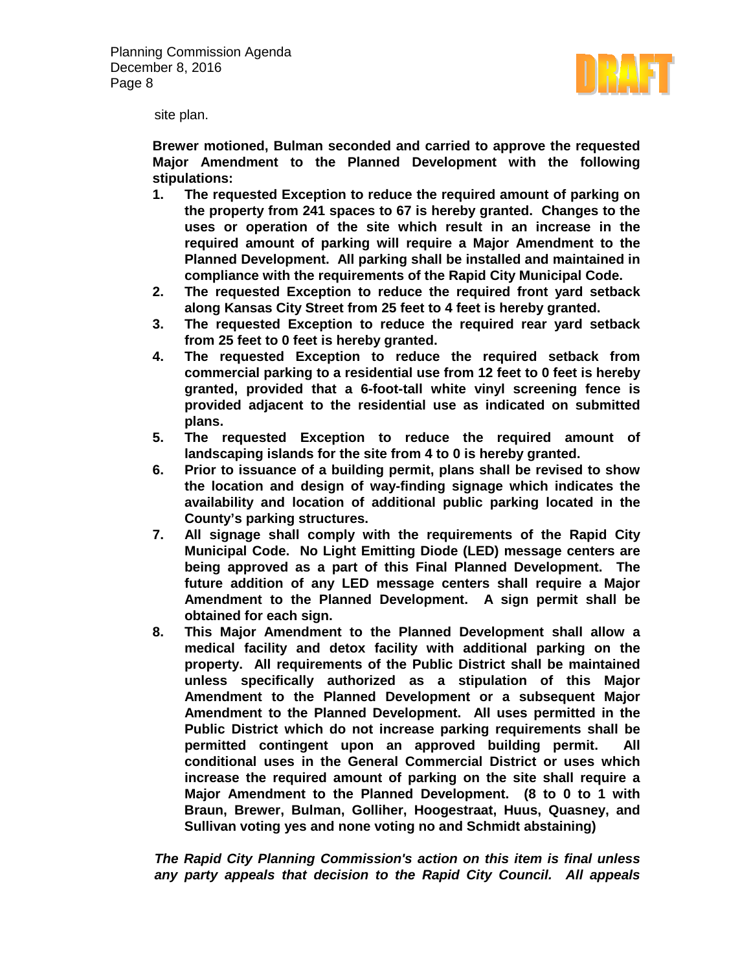

site plan.

**Brewer motioned, Bulman seconded and carried to approve the requested Major Amendment to the Planned Development with the following stipulations:**

- **1. The requested Exception to reduce the required amount of parking on the property from 241 spaces to 67 is hereby granted. Changes to the uses or operation of the site which result in an increase in the required amount of parking will require a Major Amendment to the Planned Development. All parking shall be installed and maintained in compliance with the requirements of the Rapid City Municipal Code.**
- **2. The requested Exception to reduce the required front yard setback along Kansas City Street from 25 feet to 4 feet is hereby granted.**
- **3. The requested Exception to reduce the required rear yard setback from 25 feet to 0 feet is hereby granted.**
- **4. The requested Exception to reduce the required setback from commercial parking to a residential use from 12 feet to 0 feet is hereby granted, provided that a 6-foot-tall white vinyl screening fence is provided adjacent to the residential use as indicated on submitted plans.**
- **5. The requested Exception to reduce the required amount of landscaping islands for the site from 4 to 0 is hereby granted.**
- **6. Prior to issuance of a building permit, plans shall be revised to show the location and design of way-finding signage which indicates the availability and location of additional public parking located in the County's parking structures.**
- **7. All signage shall comply with the requirements of the Rapid City Municipal Code. No Light Emitting Diode (LED) message centers are being approved as a part of this Final Planned Development. The future addition of any LED message centers shall require a Major Amendment to the Planned Development. A sign permit shall be obtained for each sign.**
- **8. This Major Amendment to the Planned Development shall allow a medical facility and detox facility with additional parking on the property. All requirements of the Public District shall be maintained unless specifically authorized as a stipulation of this Major Amendment to the Planned Development or a subsequent Major Amendment to the Planned Development. All uses permitted in the Public District which do not increase parking requirements shall be permitted contingent upon an approved building permit. All conditional uses in the General Commercial District or uses which increase the required amount of parking on the site shall require a Major Amendment to the Planned Development. (8 to 0 to 1 with Braun, Brewer, Bulman, Golliher, Hoogestraat, Huus, Quasney, and Sullivan voting yes and none voting no and Schmidt abstaining)**

*The Rapid City Planning Commission's action on this item is final unless any party appeals that decision to the Rapid City Council. All appeals*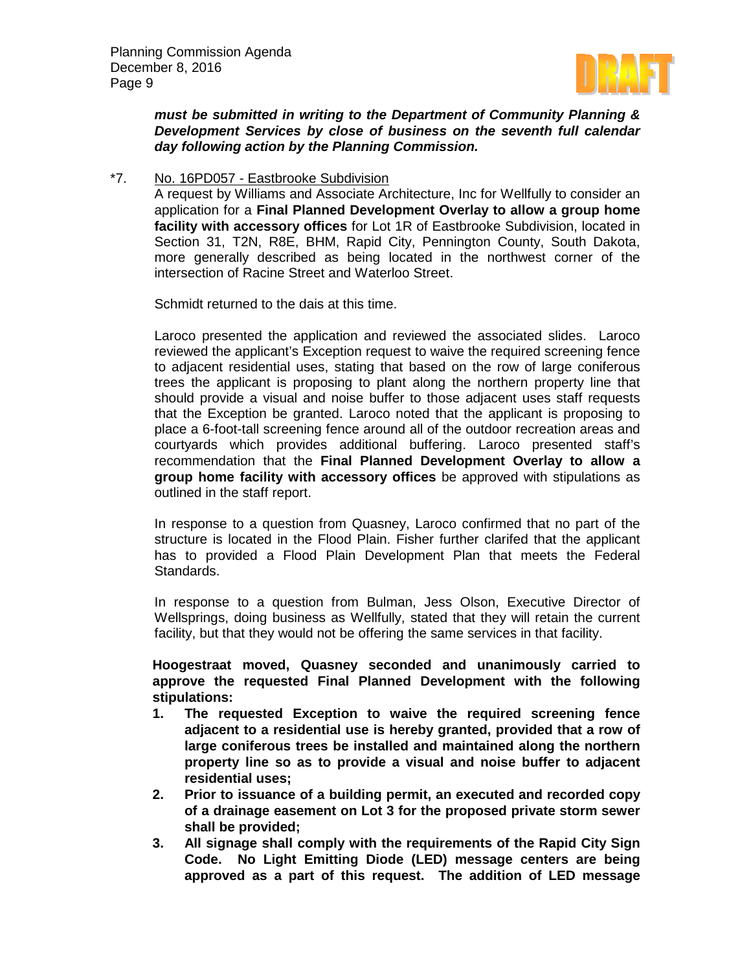

*must be submitted in writing to the Department of Community Planning & Development Services by close of business on the seventh full calendar day following action by the Planning Commission.*

### \*7. No. 16PD057 - Eastbrooke Subdivision

A request by Williams and Associate Architecture, Inc for Wellfully to consider an application for a **Final Planned Development Overlay to allow a group home facility with accessory offices** for Lot 1R of Eastbrooke Subdivision, located in Section 31, T2N, R8E, BHM, Rapid City, Pennington County, South Dakota, more generally described as being located in the northwest corner of the intersection of Racine Street and Waterloo Street.

Schmidt returned to the dais at this time.

Laroco presented the application and reviewed the associated slides. Laroco reviewed the applicant's Exception request to waive the required screening fence to adjacent residential uses, stating that based on the row of large coniferous trees the applicant is proposing to plant along the northern property line that should provide a visual and noise buffer to those adjacent uses staff requests that the Exception be granted. Laroco noted that the applicant is proposing to place a 6-foot-tall screening fence around all of the outdoor recreation areas and courtyards which provides additional buffering. Laroco presented staff's recommendation that the **Final Planned Development Overlay to allow a group home facility with accessory offices** be approved with stipulations as outlined in the staff report.

In response to a question from Quasney, Laroco confirmed that no part of the structure is located in the Flood Plain. Fisher further clarifed that the applicant has to provided a Flood Plain Development Plan that meets the Federal Standards.

In response to a question from Bulman, Jess Olson, Executive Director of Wellsprings, doing business as Wellfully, stated that they will retain the current facility, but that they would not be offering the same services in that facility.

**Hoogestraat moved, Quasney seconded and unanimously carried to approve the requested Final Planned Development with the following stipulations:**

- **1. The requested Exception to waive the required screening fence adjacent to a residential use is hereby granted, provided that a row of large coniferous trees be installed and maintained along the northern property line so as to provide a visual and noise buffer to adjacent residential uses;**
- **2. Prior to issuance of a building permit, an executed and recorded copy of a drainage easement on Lot 3 for the proposed private storm sewer shall be provided;**
- **3. All signage shall comply with the requirements of the Rapid City Sign Code. No Light Emitting Diode (LED) message centers are being approved as a part of this request. The addition of LED message**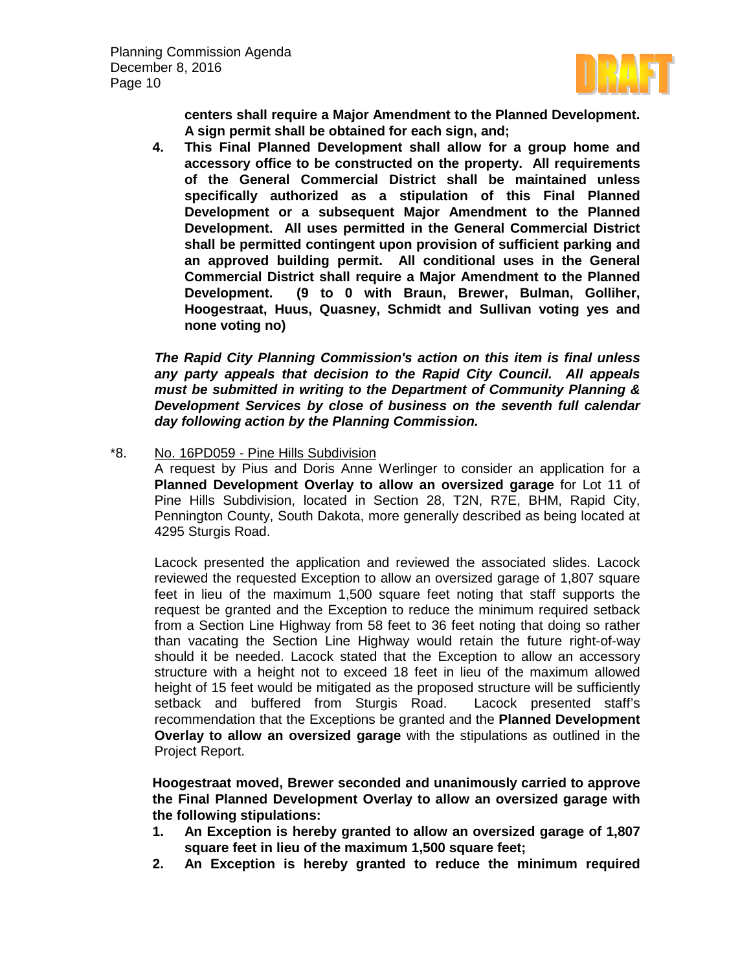

**centers shall require a Major Amendment to the Planned Development. A sign permit shall be obtained for each sign, and;**

**4. This Final Planned Development shall allow for a group home and accessory office to be constructed on the property. All requirements of the General Commercial District shall be maintained unless specifically authorized as a stipulation of this Final Planned Development or a subsequent Major Amendment to the Planned Development. All uses permitted in the General Commercial District shall be permitted contingent upon provision of sufficient parking and an approved building permit. All conditional uses in the General Commercial District shall require a Major Amendment to the Planned Development. (9 to 0 with Braun, Brewer, Bulman, Golliher, Hoogestraat, Huus, Quasney, Schmidt and Sullivan voting yes and none voting no)**

*The Rapid City Planning Commission's action on this item is final unless any party appeals that decision to the Rapid City Council. All appeals must be submitted in writing to the Department of Community Planning & Development Services by close of business on the seventh full calendar day following action by the Planning Commission.*

\*8. No. 16PD059 - Pine Hills Subdivision

A request by Pius and Doris Anne Werlinger to consider an application for a **Planned Development Overlay to allow an oversized garage** for Lot 11 of Pine Hills Subdivision, located in Section 28, T2N, R7E, BHM, Rapid City, Pennington County, South Dakota, more generally described as being located at 4295 Sturgis Road.

Lacock presented the application and reviewed the associated slides. Lacock reviewed the requested Exception to allow an oversized garage of 1,807 square feet in lieu of the maximum 1,500 square feet noting that staff supports the request be granted and the Exception to reduce the minimum required setback from a Section Line Highway from 58 feet to 36 feet noting that doing so rather than vacating the Section Line Highway would retain the future right-of-way should it be needed. Lacock stated that the Exception to allow an accessory structure with a height not to exceed 18 feet in lieu of the maximum allowed height of 15 feet would be mitigated as the proposed structure will be sufficiently setback and buffered from Sturgis Road. Lacock presented staff's recommendation that the Exceptions be granted and the **Planned Development Overlay to allow an oversized garage** with the stipulations as outlined in the Project Report.

**Hoogestraat moved, Brewer seconded and unanimously carried to approve the Final Planned Development Overlay to allow an oversized garage with the following stipulations:**

- **1. An Exception is hereby granted to allow an oversized garage of 1,807 square feet in lieu of the maximum 1,500 square feet;**
- **2. An Exception is hereby granted to reduce the minimum required**